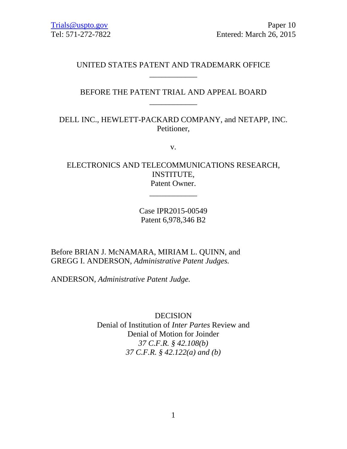# \_\_\_\_\_\_\_\_\_\_\_\_ UNITED STATES PATENT AND TRADEMARK OFFICE

# \_\_\_\_\_\_\_\_\_\_\_\_ BEFORE THE PATENT TRIAL AND APPEAL BOARD

# DELL INC., HEWLETT-PACKARD COMPANY, and NETAPP, INC. Petitioner,

v.

# ELECTRONICS AND TELECOMMUNICATIONS RESEARCH, INSTITUTE, Patent Owner.

\_\_\_\_\_\_\_\_\_\_\_\_

# Case IPR2015-00549 Patent 6,978,346 B2

# Before BRIAN J. McNAMARA, MIRIAM L. QUINN, and GREGG I. ANDERSON, *Administrative Patent Judges.*

ANDERSON, *Administrative Patent Judge.* 

DECISION Denial of Institution of *Inter Partes* Review and Denial of Motion for Joinder *37 C.F.R. § 42.108(b) 37 C.F.R. § 42.122(a) and (b)*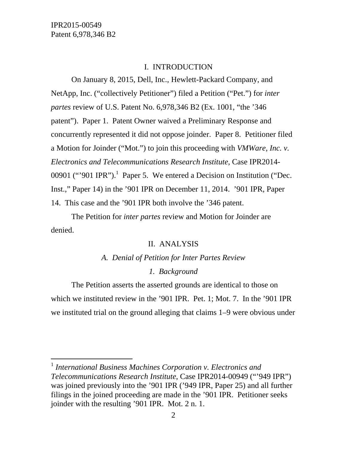l

### I. INTRODUCTION

On January 8, 2015, Dell, Inc., Hewlett-Packard Company, and NetApp, Inc. ("collectively Petitioner") filed a Petition ("Pet.") for *inter partes* review of U.S. Patent No. 6,978,346 B2 (Ex. 1001, "the '346 patent"). Paper 1. Patent Owner waived a Preliminary Response and concurrently represented it did not oppose joinder. Paper 8. Petitioner filed a Motion for Joinder ("Mot.") to join this proceeding with *VMWare, Inc. v. Electronics and Telecommunications Research Institute*, Case IPR2014- 00901 ("'901 IPR").<sup>1</sup> Paper 5. We entered a Decision on Institution ("Dec. Inst.," Paper 14) in the '901 IPR on December 11, 2014. '901 IPR, Paper 14. This case and the '901 IPR both involve the '346 patent.

The Petition for *inter partes* review and Motion for Joinder are denied.

## II. ANALYSIS

# *A. Denial of Petition for Inter Partes Review 1. Background*

The Petition asserts the asserted grounds are identical to those on which we instituted review in the '901 IPR. Pet. 1; Mot. 7. In the '901 IPR we instituted trial on the ground alleging that claims 1–9 were obvious under

<sup>1</sup>*International Business Machines Corporation v. Electronics and Telecommunications Research Institute*, Case IPR2014-00949 ("'949 IPR") was joined previously into the '901 IPR ('949 IPR, Paper 25) and all further filings in the joined proceeding are made in the '901 IPR. Petitioner seeks joinder with the resulting '901 IPR. Mot. 2 n. 1.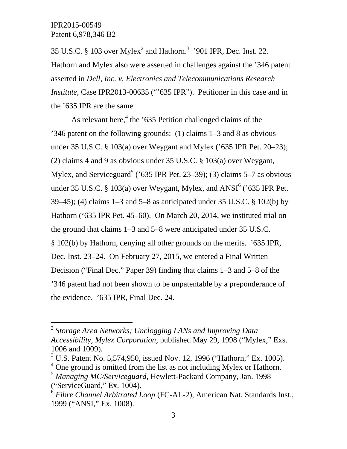$\overline{a}$ 

35 U.S.C. § 103 over Mylex<sup>2</sup> and Hathorn.<sup>3</sup> '901 IPR, Dec. Inst. 22. Hathorn and Mylex also were asserted in challenges against the '346 patent asserted in *Dell, Inc. v. Electronics and Telecommunications Research Institute*, Case IPR2013-00635 ("635 IPR"). Petitioner in this case and in the '635 IPR are the same.

As relevant here,<sup>4</sup> the '635 Petition challenged claims of the '346 patent on the following grounds: (1) claims 1–3 and 8 as obvious under 35 U.S.C. § 103(a) over Weygant and Mylex ('635 IPR Pet. 20–23); (2) claims 4 and 9 as obvious under 35 U.S.C. § 103(a) over Weygant, Mylex, and Serviceguard<sup>5</sup> ('635 IPR Pet. 23–39); (3) claims 5–7 as obvious under 35 U.S.C. § 103(a) over Weygant, Mylex, and  $ANSI<sup>6</sup>$  ('635 IPR Pet. 39–45); (4) claims 1–3 and 5–8 as anticipated under 35 U.S.C. § 102(b) by Hathorn ('635 IPR Pet. 45–60). On March 20, 2014, we instituted trial on the ground that claims 1–3 and 5–8 were anticipated under 35 U.S.C. § 102(b) by Hathorn, denying all other grounds on the merits. '635 IPR, Dec. Inst. 23–24. On February 27, 2015, we entered a Final Written Decision ("Final Dec." Paper 39) finding that claims 1–3 and 5–8 of the '346 patent had not been shown to be unpatentable by a preponderance of the evidence. '635 IPR, Final Dec. 24.

<sup>2</sup>*Storage Area Networks; Unclogging LANs and Improving Data Accessibility, Mylex Corporation*, published May 29, 1998 ("Mylex," Exs. 1006 and 1009).

<sup>&</sup>lt;sup>3</sup> U.S. Patent No. 5,574,950, issued Nov. 12, 1996 ("Hathorn," Ex. 1005).

 $4^4$  One ground is omitted from the list as not including Mylex or Hathorn.

<sup>5</sup>*Managing MC/Serviceguard*, Hewlett-Packard Company, Jan. 1998 ("ServiceGuard," Ex. 1004).

<sup>6</sup>*Fibre Channel Arbitrated Loop* (FC-AL-2), American Nat. Standards Inst., 1999 ("ANSI," Ex. 1008).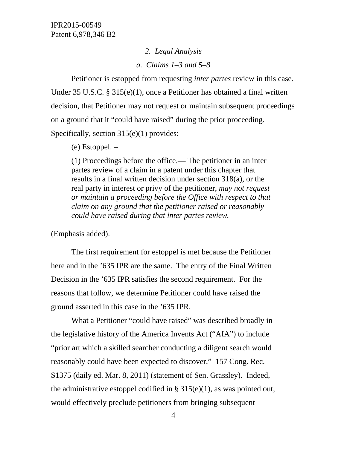*2. Legal Analysis* 

*a. Claims 1–3 and 5–8* 

Petitioner is estopped from requesting *inter partes* review in this case. Under 35 U.S.C. § 315(e)(1), once a Petitioner has obtained a final written decision, that Petitioner may not request or maintain subsequent proceedings on a ground that it "could have raised" during the prior proceeding. Specifically, section 315(e)(1) provides:

(e) Estoppel. –

(1) Proceedings before the office.— The petitioner in an inter partes review of a claim in a patent under this chapter that results in a final written decision under section 318(a), or the real party in interest or privy of the petitioner, *may not request or maintain a proceeding before the Office with respect to that claim on any ground that the petitioner raised or reasonably could have raised during that inter partes review.* 

(Emphasis added).

The first requirement for estoppel is met because the Petitioner here and in the '635 IPR are the same. The entry of the Final Written Decision in the '635 IPR satisfies the second requirement. For the reasons that follow, we determine Petitioner could have raised the ground asserted in this case in the '635 IPR.

What a Petitioner "could have raised" was described broadly in the legislative history of the America Invents Act ("AIA") to include "prior art which a skilled searcher conducting a diligent search would reasonably could have been expected to discover." 157 Cong. Rec. S1375 (daily ed. Mar. 8, 2011) (statement of Sen. Grassley). Indeed, the administrative estoppel codified in  $\S 315(e)(1)$ , as was pointed out, would effectively preclude petitioners from bringing subsequent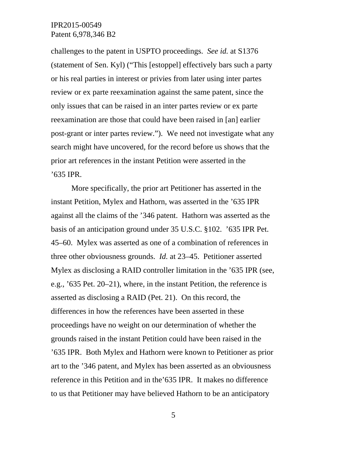challenges to the patent in USPTO proceedings. *See id.* at S1376 (statement of Sen. Kyl) ("This [estoppel] effectively bars such a party or his real parties in interest or privies from later using inter partes review or ex parte reexamination against the same patent, since the only issues that can be raised in an inter partes review or ex parte reexamination are those that could have been raised in [an] earlier post-grant or inter partes review."). We need not investigate what any search might have uncovered, for the record before us shows that the prior art references in the instant Petition were asserted in the '635 IPR.

More specifically, the prior art Petitioner has asserted in the instant Petition, Mylex and Hathorn, was asserted in the '635 IPR against all the claims of the '346 patent. Hathorn was asserted as the basis of an anticipation ground under 35 U.S.C. §102. '635 IPR Pet. 45–60. Mylex was asserted as one of a combination of references in three other obviousness grounds. *Id.* at 23–45. Petitioner asserted Mylex as disclosing a RAID controller limitation in the '635 IPR (see, e.g., '635 Pet. 20–21), where, in the instant Petition, the reference is asserted as disclosing a RAID (Pet. 21). On this record, the differences in how the references have been asserted in these proceedings have no weight on our determination of whether the grounds raised in the instant Petition could have been raised in the '635 IPR. Both Mylex and Hathorn were known to Petitioner as prior art to the '346 patent, and Mylex has been asserted as an obviousness reference in this Petition and in the'635 IPR. It makes no difference to us that Petitioner may have believed Hathorn to be an anticipatory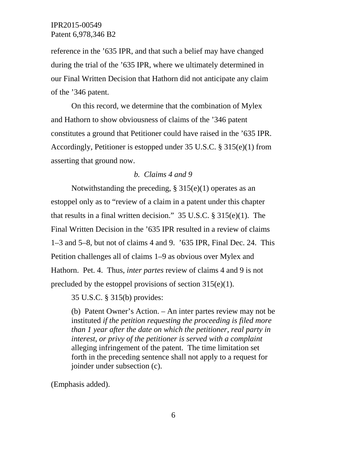reference in the '635 IPR, and that such a belief may have changed during the trial of the '635 IPR, where we ultimately determined in our Final Written Decision that Hathorn did not anticipate any claim of the '346 patent.

On this record, we determine that the combination of Mylex and Hathorn to show obviousness of claims of the '346 patent constitutes a ground that Petitioner could have raised in the '635 IPR. Accordingly, Petitioner is estopped under 35 U.S.C. § 315(e)(1) from asserting that ground now.

### *b. Claims 4 and 9*

Notwithstanding the preceding,  $\S 315(e)(1)$  operates as an estoppel only as to "review of a claim in a patent under this chapter that results in a final written decision." 35 U.S.C. § 315(e)(1). The Final Written Decision in the '635 IPR resulted in a review of claims 1–3 and 5–8, but not of claims 4 and 9. '635 IPR, Final Dec. 24. This Petition challenges all of claims 1–9 as obvious over Mylex and Hathorn. Pet. 4. Thus, *inter partes* review of claims 4 and 9 is not precluded by the estoppel provisions of section 315(e)(1).

35 U.S.C. § 315(b) provides:

(b) Patent Owner's Action. – An inter partes review may not be instituted *if the petition requesting the proceeding is filed more than 1 year after the date on which the petitioner, real party in interest, or privy of the petitioner is served with a complaint*  alleging infringement of the patent. The time limitation set forth in the preceding sentence shall not apply to a request for joinder under subsection (c).

(Emphasis added).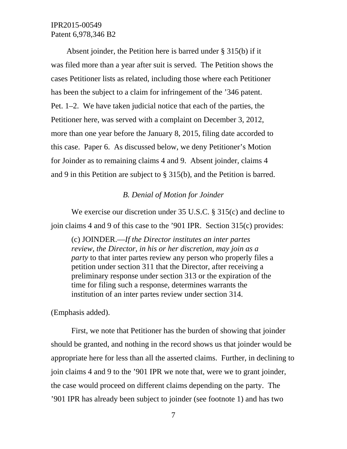Absent joinder, the Petition here is barred under § 315(b) if it was filed more than a year after suit is served. The Petition shows the cases Petitioner lists as related, including those where each Petitioner has been the subject to a claim for infringement of the '346 patent. Pet. 1–2. We have taken judicial notice that each of the parties, the Petitioner here, was served with a complaint on December 3, 2012, more than one year before the January 8, 2015, filing date accorded to this case. Paper 6. As discussed below, we deny Petitioner's Motion for Joinder as to remaining claims 4 and 9. Absent joinder, claims 4 and 9 in this Petition are subject to § 315(b), and the Petition is barred.

### *B. Denial of Motion for Joinder*

We exercise our discretion under 35 U.S.C. § 315(c) and decline to join claims 4 and 9 of this case to the '901 IPR. Section 315(c) provides:

(c) JOINDER.—*If the Director institutes an inter partes review, the Director, in his or her discretion, may join as a party* to that inter partes review any person who properly files a petition under section 311 that the Director, after receiving a preliminary response under section 313 or the expiration of the time for filing such a response, determines warrants the institution of an inter partes review under section 314.

(Emphasis added).

First, we note that Petitioner has the burden of showing that joinder should be granted, and nothing in the record shows us that joinder would be appropriate here for less than all the asserted claims. Further, in declining to join claims 4 and 9 to the '901 IPR we note that, were we to grant joinder, the case would proceed on different claims depending on the party. The '901 IPR has already been subject to joinder (see footnote 1) and has two

7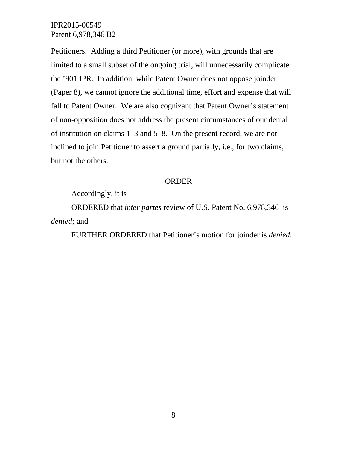Petitioners. Adding a third Petitioner (or more), with grounds that are limited to a small subset of the ongoing trial, will unnecessarily complicate the '901 IPR. In addition, while Patent Owner does not oppose joinder (Paper 8), we cannot ignore the additional time, effort and expense that will fall to Patent Owner. We are also cognizant that Patent Owner's statement of non-opposition does not address the present circumstances of our denial of institution on claims 1–3 and 5–8. On the present record, we are not inclined to join Petitioner to assert a ground partially, i.e., for two claims, but not the others.

#### ORDER

Accordingly, it is

ORDERED that *inter partes* review of U.S. Patent No. 6,978,346 is *denied;* and

FURTHER ORDERED that Petitioner's motion for joinder is *denied*.